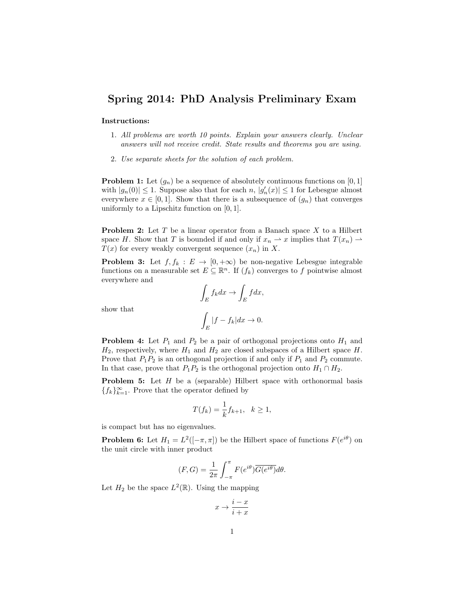## Spring 2014: PhD Analysis Preliminary Exam

## Instructions:

- 1. All problems are worth 10 points. Explain your answers clearly. Unclear answers will not receive credit. State results and theorems you are using.
- 2. Use separate sheets for the solution of each problem.

**Problem 1:** Let  $(g_n)$  be a sequence of absolutely continuous functions on  $[0,1]$ with  $|g_n(0)| \leq 1$ . Suppose also that for each  $n, |g'_n(x)| \leq 1$  for Lebesgue almost everywhere  $x \in [0, 1]$ . Show that there is a subsequence of  $(g_n)$  that converges uniformly to a Lipschitz function on  $[0, 1]$ .

**Problem 2:** Let  $T$  be a linear operator from a Banach space  $X$  to a Hilbert space H. Show that T is bounded if and only if  $x_n \rightharpoonup x$  implies that  $T(x_n) \rightharpoonup x$  $T(x)$  for every weakly convergent sequence  $(x_n)$  in X.

**Problem 3:** Let  $f, f_k : E \to [0, +\infty)$  be non-negative Lebesgue integrable functions on a measurable set  $E \subseteq \mathbb{R}^n$ . If  $(f_k)$  converges to f pointwise almost everywhere and

$$
\int_{E} f_k dx \to \int_{E} f dx,
$$

$$
\int_{E} |f - f_k| dx \to 0.
$$

show that

**Problem 4:** Let  $P_1$  and  $P_2$  be a pair of orthogonal projections onto  $H_1$  and  $H_2$ , respectively, where  $H_1$  and  $H_2$  are closed subspaces of a Hilbert space H. Prove that  $P_1P_2$  is an orthogonal projection if and only if  $P_1$  and  $P_2$  commute. In that case, prove that  $P_1P_2$  is the orthogonal projection onto  $H_1 \cap H_2$ .

**Problem 5:** Let  $H$  be a (separable) Hilbert space with orthonormal basis { $f_k$ }<sup>∞</sup><sub> $k=1$ </sub>. Prove that the operator defined by

$$
T(f_k) = \frac{1}{k} f_{k+1}, \quad k \ge 1,
$$

is compact but has no eigenvalues.

**Problem 6:** Let  $H_1 = L^2([-\pi,\pi])$  be the Hilbert space of functions  $F(e^{i\theta})$  on the unit circle with inner product

$$
(F, G) = \frac{1}{2\pi} \int_{-\pi}^{\pi} F(e^{i\theta}) \overline{G(e^{i\theta})} d\theta.
$$

Let  $H_2$  be the space  $L^2(\mathbb{R})$ . Using the mapping

$$
x \to \frac{i-x}{i+x}
$$